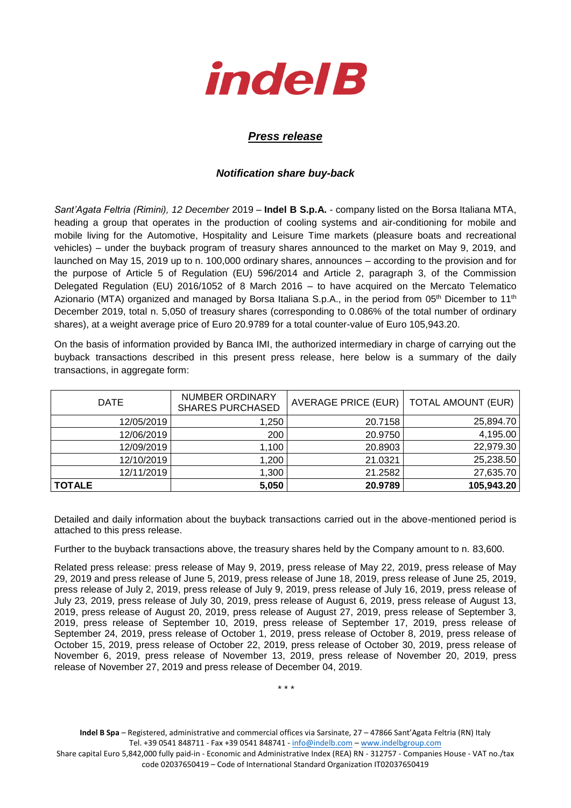

## *Press release*

## *Notification share buy-back*

*Sant'Agata Feltria (Rimini), 12 December* 2019 – **Indel B S.p.A.** - company listed on the Borsa Italiana MTA, heading a group that operates in the production of cooling systems and air-conditioning for mobile and mobile living for the Automotive, Hospitality and Leisure Time markets (pleasure boats and recreational vehicles) – under the buyback program of treasury shares announced to the market on May 9, 2019, and launched on May 15, 2019 up to n. 100,000 ordinary shares, announces – according to the provision and for the purpose of Article 5 of Regulation (EU) 596/2014 and Article 2, paragraph 3, of the Commission Delegated Regulation (EU) 2016/1052 of 8 March 2016 – to have acquired on the Mercato Telematico Azionario (MTA) organized and managed by Borsa Italiana S.p.A., in the period from 05<sup>th</sup> Dicember to 11<sup>th</sup> December 2019, total n. 5,050 of treasury shares (corresponding to 0.086% of the total number of ordinary shares), at a weight average price of Euro 20.9789 for a total counter-value of Euro 105,943.20.

On the basis of information provided by Banca IMI, the authorized intermediary in charge of carrying out the buyback transactions described in this present press release, here below is a summary of the daily transactions, in aggregate form:

| <b>DATE</b>   | <b>NUMBER ORDINARY</b><br><b>SHARES PURCHASED</b> | <b>AVERAGE PRICE (EUR)</b> | <b>TOTAL AMOUNT (EUR)</b> |
|---------------|---------------------------------------------------|----------------------------|---------------------------|
| 12/05/2019    | ,250                                              | 20.7158                    | 25,894.70                 |
| 12/06/2019    | 200                                               | 20.9750                    | 4,195.00                  |
| 12/09/2019    | 1,100                                             | 20.8903                    | 22,979.30                 |
| 12/10/2019    | 1,200                                             | 21.0321                    | 25,238.50                 |
| 12/11/2019    | 1,300                                             | 21.2582                    | 27,635.70                 |
| <b>TOTALE</b> | 5,050                                             | 20.9789                    | 105,943.20                |

Detailed and daily information about the buyback transactions carried out in the above-mentioned period is attached to this press release.

Further to the buyback transactions above, the treasury shares held by the Company amount to n. 83,600.

Related press release: press release of May 9, 2019, press release of May 22, 2019, press release of May 29, 2019 and press release of June 5, 2019, press release of June 18, 2019, press release of June 25, 2019, press release of July 2, 2019, press release of July 9, 2019, press release of July 16, 2019, press release of July 23, 2019, press release of July 30, 2019, press release of August 6, 2019, press release of August 13, 2019, press release of August 20, 2019, press release of August 27, 2019, press release of September 3, 2019, press release of September 10, 2019, press release of September 17, 2019, press release of September 24, 2019, press release of October 1, 2019, press release of October 8, 2019, press release of October 15, 2019, press release of October 22, 2019, press release of October 30, 2019, press release of November 6, 2019, press release of November 13, 2019, press release of November 20, 2019, press release of November 27, 2019 and press release of December 04, 2019.

\* \* \*

**Indel B Spa** – Registered, administrative and commercial offices via Sarsinate, 27 – 47866 Sant'Agata Feltria (RN) Italy Tel. +39 0541 848711 - Fax +39 0541 848741 - [info@indelb.com](mailto:info@indelb.com) – [www.indelbgroup.com](http://www.indelbgroup.com/)

Share capital Euro 5,842,000 fully paid-in - Economic and Administrative Index (REA) RN - 312757 - Companies House - VAT no./tax code 02037650419 – Code of International Standard Organization IT02037650419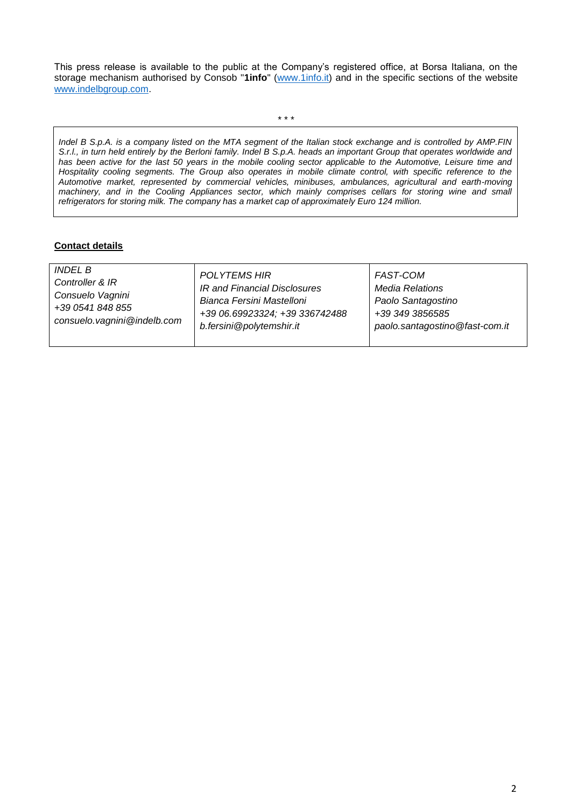This press release is available to the public at the Company's registered office, at Borsa Italiana, on the storage mechanism authorised by Consob "**1info**" [\(www.1info.it\)](file:///C:/Users/ddelietovollaro/AppData/Local/Microsoft/Windows/INetCache/Content.Outlook/T87B94UR/www.1info.it) and in the specific sections of the website [www.indelbgroup.com.](http://www.indelbgroup.com/)

\* \* \*

*Indel B S.p.A. is a company listed on the MTA segment of the Italian stock exchange and is controlled by AMP.FIN S.r.l., in turn held entirely by the Berloni family. Indel B S.p.A. heads an important Group that operates worldwide and*  has been active for the last 50 years in the mobile cooling sector applicable to the Automotive, Leisure time and *Hospitality cooling segments. The Group also operates in mobile climate control, with specific reference to the Automotive market, represented by commercial vehicles, minibuses, ambulances, agricultural and earth-moving machinery, and in the Cooling Appliances sector, which mainly comprises cellars for storing wine and small refrigerators for storing milk. The company has a market cap of approximately Euro 124 million.* 

## **Contact details**

| <i>INDEL B</i><br><b>POLYTEMS HIR</b><br><b>FAST-COM</b><br>Controller & IR<br>IR and Financial Disclosures<br><b>Media Relations</b><br>Consuelo Vagnini<br>Bianca Fersini Mastelloni<br>Paolo Santagostino<br>+39 0541 848 855<br>+39 06.69923324; +39 336742488<br>+39 349 3856585<br>consuelo.vagnini@indelb.com<br>b.fersini@polytemshir.it<br>paolo.santagostino@fast-com.it |  |
|------------------------------------------------------------------------------------------------------------------------------------------------------------------------------------------------------------------------------------------------------------------------------------------------------------------------------------------------------------------------------------|--|
|------------------------------------------------------------------------------------------------------------------------------------------------------------------------------------------------------------------------------------------------------------------------------------------------------------------------------------------------------------------------------------|--|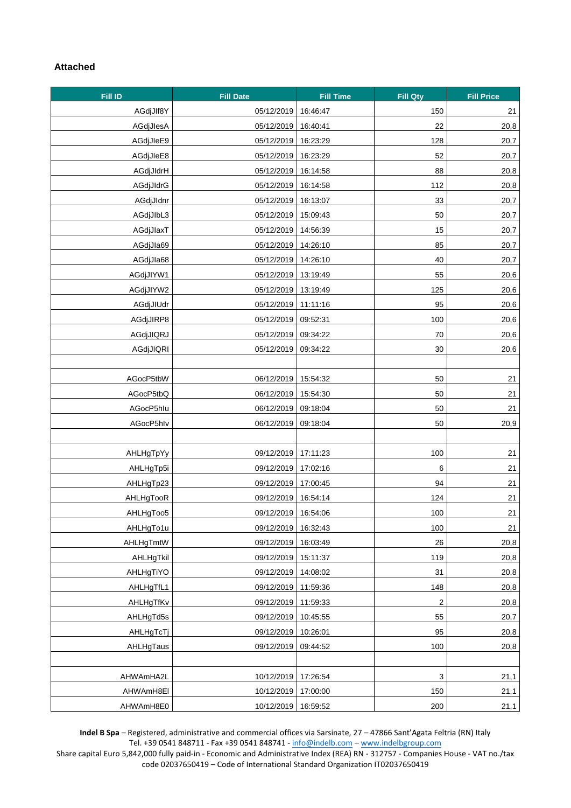## **Attached**

| Fill ID   | <b>Fill Date</b>    | <b>Fill Time</b> | <b>Fill Qty</b>           | <b>Fill Price</b> |
|-----------|---------------------|------------------|---------------------------|-------------------|
| AGdjJlf8Y | 05/12/2019          | 16:46:47         | 150                       | 21                |
| AGdjJlesA | 05/12/2019          | 16:40:41         | 22                        | 20,8              |
| AGdjJleE9 | 05/12/2019          | 16:23:29         | 128                       | 20,7              |
| AGdjJleE8 | 05/12/2019          | 16:23:29         | 52                        | 20,7              |
| AGdjJldrH | 05/12/2019          | 16:14:58         | 88                        | 20,8              |
| AGdjJldrG | 05/12/2019          | 16:14:58         | 112                       | 20,8              |
| AGdjJldnr | 05/12/2019          | 16:13:07         | 33                        | 20,7              |
| AGdjJlbL3 | 05/12/2019          | 15:09:43         | 50                        | 20,7              |
| AGdjJlaxT | 05/12/2019          | 14:56:39         | 15                        | 20,7              |
| AGdjJla69 | 05/12/2019          | 14:26:10         | 85                        | 20,7              |
| AGdjJla68 | 05/12/2019          | 14:26:10         | 40                        | 20,7              |
| AGdjJIYW1 | 05/12/2019          | 13:19:49         | 55                        | 20,6              |
| AGdjJIYW2 | 05/12/2019          | 13:19:49         | 125                       | 20,6              |
| AGdjJIUdr | 05/12/2019          | 11:11:16         | 95                        | 20,6              |
| AGdjJIRP8 | 05/12/2019          | 09:52:31         | 100                       | 20,6              |
| AGdjJIQRJ | 05/12/2019          | 09:34:22         | 70                        | 20,6              |
| AGdjJIQRI | 05/12/2019          | 09:34:22         | 30                        | 20,6              |
|           |                     |                  |                           |                   |
| AGocP5tbW | 06/12/2019          | 15:54:32         | 50                        | 21                |
| AGocP5tbQ | 06/12/2019          | 15:54:30         | 50                        | 21                |
| AGocP5hlu | 06/12/2019          | 09:18:04         | 50                        | 21                |
| AGocP5hlv | 06/12/2019          | 09:18:04         | 50                        | 20,9              |
|           |                     |                  |                           |                   |
| AHLHgTpYy | 09/12/2019          | 17:11:23         | 100                       | 21                |
| AHLHgTp5i | 09/12/2019          | 17:02:16         | 6                         | 21                |
| AHLHgTp23 | 09/12/2019          | 17:00:45         | 94                        | 21                |
| AHLHgTooR | 09/12/2019          | 16:54:14         | 124                       | 21                |
| AHLHgToo5 | 09/12/2019 16:54:06 |                  | 100                       | 21                |
| AHLHgTo1u | 09/12/2019          | 16:32:43         | 100                       | 21                |
| AHLHgTmtW | 09/12/2019          | 16:03:49         | 26                        | 20,8              |
| AHLHgTkil | 09/12/2019          | 15:11:37         | 119                       | 20,8              |
| AHLHgTiYO | 09/12/2019          | 14:08:02         | 31                        | 20,8              |
| AHLHgTfL1 | 09/12/2019          | 11:59:36         | 148                       | 20,8              |
| AHLHgTfKv | 09/12/2019          | 11:59:33         | $\sqrt{2}$                | 20,8              |
| AHLHgTd5s | 09/12/2019          | 10:45:55         | 55                        | 20,7              |
| AHLHgTcTj | 09/12/2019          | 10:26:01         | 95                        | 20,8              |
| AHLHgTaus | 09/12/2019          | 09:44:52         | 100                       | 20,8              |
|           |                     |                  |                           |                   |
| AHWAmHA2L | 10/12/2019          | 17:26:54         | $\ensuremath{\mathsf{3}}$ | 21,1              |
| AHWAmH8EI | 10/12/2019          | 17:00:00         | 150                       | 21,1              |
| AHWAmH8E0 | 10/12/2019          | 16:59:52         | 200                       | 21,1              |

**Indel B Spa** – Registered, administrative and commercial offices via Sarsinate, 27 – 47866 Sant'Agata Feltria (RN) Italy Tel. +39 0541 848711 - Fax +39 0541 848741 - [info@indelb.com](mailto:info@indelb.com) – [www.indelbgroup.com](http://www.indelbgroup.com/)

Share capital Euro 5,842,000 fully paid-in - Economic and Administrative Index (REA) RN - 312757 - Companies House - VAT no./tax code 02037650419 – Code of International Standard Organization IT02037650419